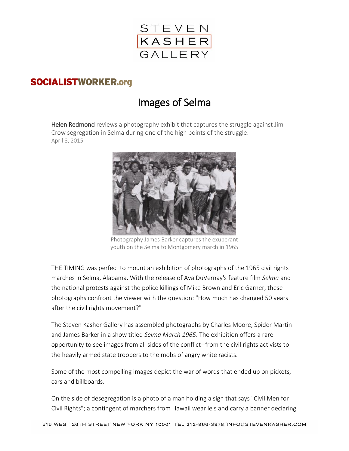

## **SOCIALISTWORKER.org**

## Images of Selma

Helen Redmond reviews a photography exhibit that captures the struggle against Jim Crow segregation in Selma during one of the high points of the struggle. April 8, 2015



Photography James Barker captures the exuberant youth on the Selma to Montgomery march in 1965

THE TIMING was perfect to mount an exhibition of photographs of the 1965 civil rights marches in Selma, Alabama. With the release of Ava DuVernay's feature film *Selma* and the national protests against the police killings of Mike Brown and Eric Garner, these photographs confront the viewer with the question: "How much has changed 50 years after the civil rights movement?"

The Steven Kasher Gallery has assembled photographs by Charles Moore, Spider Martin and James Barker in a show titled *Selma March 1965*. The exhibition offers a rare opportunity to see images from all sides of the conflict--from the civil rights activists to the heavily armed state troopers to the mobs of angry white racists.

Some of the most compelling images depict the war of words that ended up on pickets, cars and billboards.

On the side of desegregation is a photo of a man holding a sign that says "Civil Men for Civil Rights"; a contingent of marchers from Hawaii wear leis and carry a banner declaring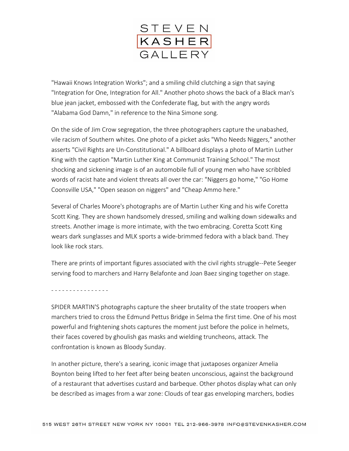

"Hawaii Knows Integration Works"; and a smiling child clutching a sign that saying "Integration for One, Integration for All." Another photo shows the back of a Black man's blue jean jacket, embossed with the Confederate flag, but with the angry words "Alabama God Damn," in reference to the Nina Simone song.

On the side of Jim Crow segregation, the three photographers capture the unabashed, vile racism of Southern whites. One photo of a picket asks "Who Needs Niggers," another asserts "Civil Rights are Un-Constitutional." A billboard displays a photo of Martin Luther King with the caption "Martin Luther King at Communist Training School." The most shocking and sickening image is of an automobile full of young men who have scribbled words of racist hate and violent threats all over the car: "Niggers go home," "Go Home Coonsville USA," "Open season on niggers" and "Cheap Ammo here."

Several of Charles Moore's photographs are of Martin Luther King and his wife Coretta Scott King. They are shown handsomely dressed, smiling and walking down sidewalks and streets. Another image is more intimate, with the two embracing. Coretta Scott King wears dark sunglasses and MLK sports a wide-brimmed fedora with a black band. They look like rock stars.

There are prints of important figures associated with the civil rights struggle--Pete Seeger serving food to marchers and Harry Belafonte and Joan Baez singing together on stage.

- - - - - - - - - - - - - - - -

SPIDER MARTIN'S photographs capture the sheer brutality of the state troopers when marchers tried to cross the Edmund Pettus Bridge in Selma the first time. One of his most powerful and frightening shots captures the moment just before the police in helmets, their faces covered by ghoulish gas masks and wielding truncheons, attack. The confrontation is known as Bloody Sunday.

In another picture, there's a searing, iconic image that juxtaposes organizer Amelia Boynton being lifted to her feet after being beaten unconscious, against the background of a restaurant that advertises custard and barbeque. Other photos display what can only be described as images from a war zone: Clouds of tear gas enveloping marchers, bodies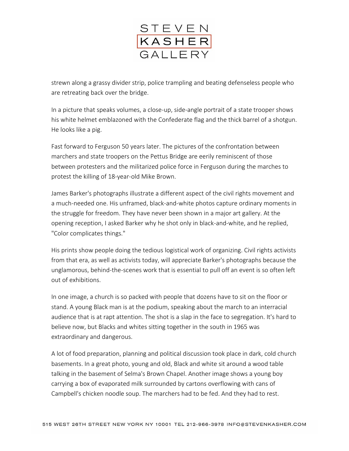

strewn along a grassy divider strip, police trampling and beating defenseless people who are retreating back over the bridge.

In a picture that speaks volumes, a close-up, side-angle portrait of a state trooper shows his white helmet emblazoned with the Confederate flag and the thick barrel of a shotgun. He looks like a pig.

Fast forward to Ferguson 50 years later. The pictures of the confrontation between marchers and state troopers on the Pettus Bridge are eerily reminiscent of those between protesters and the militarized police force in Ferguson during the marches to protest the killing of 18-year-old Mike Brown.

James Barker's photographs illustrate a different aspect of the civil rights movement and a much-needed one. His unframed, black-and-white photos capture ordinary moments in the struggle for freedom. They have never been shown in a major art gallery. At the opening reception, I asked Barker why he shot only in black-and-white, and he replied, "Color complicates things."

His prints show people doing the tedious logistical work of organizing. Civil rights activists from that era, as well as activists today, will appreciate Barker's photographs because the unglamorous, behind-the-scenes work that is essential to pull off an event is so often left out of exhibitions.

In one image, a church is so packed with people that dozens have to sit on the floor or stand. A young Black man is at the podium, speaking about the march to an interracial audience that is at rapt attention. The shot is a slap in the face to segregation. It's hard to believe now, but Blacks and whites sitting together in the south in 1965 was extraordinary and dangerous.

A lot of food preparation, planning and political discussion took place in dark, cold church basements. In a great photo, young and old, Black and white sit around a wood table talking in the basement of Selma's Brown Chapel. Another image shows a young boy carrying a box of evaporated milk surrounded by cartons overflowing with cans of Campbell's chicken noodle soup. The marchers had to be fed. And they had to rest.